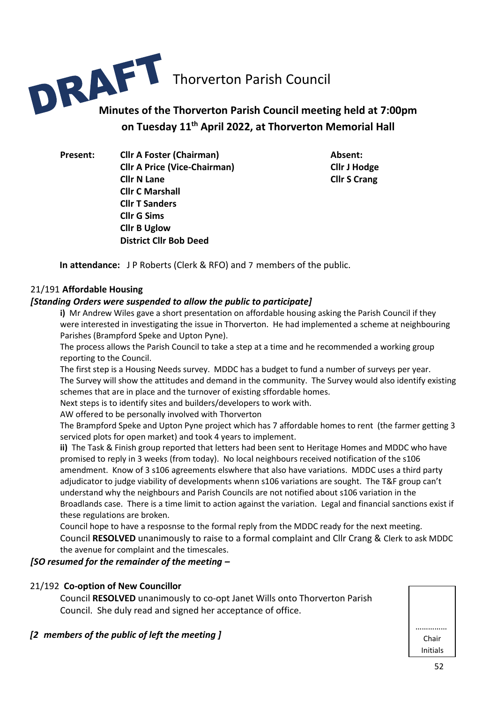

# **on Tuesday 11th April 2022, at Thorverton Memorial Hall**

**Present: Cllr A Foster (Chairman) Absent: Cllr A Price (Vice-Chairman) Cllr J Hodge Cllr N Lane Cllr S Crang Cllr C Marshall Cllr T Sanders Cllr G Sims Cllr B Uglow District Cllr Bob Deed**

**In attendance:** J P Roberts (Clerk & RFO) and 7 members of the public.

#### 21/191 **Affordable Housing**

#### *[Standing Orders were suspended to allow the public to participate]*

**i)** Mr Andrew Wiles gave a short presentation on affordable housing asking the Parish Council if they were interested in investigating the issue in Thorverton. He had implemented a scheme at neighbouring Parishes (Brampford Speke and Upton Pyne).

The process allows the Parish Council to take a step at a time and he recommended a working group reporting to the Council.

The first step is a Housing Needs survey. MDDC has a budget to fund a number of surveys per year. The Survey will show the attitudes and demand in the community. The Survey would also identify existing schemes that are in place and the turnover of existing sffordable homes.

Next steps is to identify sites and builders/developers to work with.

AW offered to be personally involved with Thorverton

The Brampford Speke and Upton Pyne project which has 7 affordable homes to rent (the farmer getting 3 serviced plots for open market) and took 4 years to implement.

**ii)** The Task & Finish group reported that letters had been sent to Heritage Homes and MDDC who have promised to reply in 3 weeks (from today). No local neighbours received notification of the s106 amendment. Know of 3 s106 agreements elswhere that also have variations. MDDC uses a third party adjudicator to judge viability of developments whenn s106 variations are sought. The T&F group can't understand why the neighbours and Parish Councils are not notified about s106 variation in the Broadlands case. There is a time limit to action against the variation. Legal and financial sanctions exist if these regulations are broken.

Council hope to have a resposnse to the formal reply from the MDDC ready for the next meeting. Council **RESOLVED** unanimously to raise to a formal complaint and Cllr Crang & Clerk to ask MDDC the avenue for complaint and the timescales.

#### *[SO resumed for the remainder of the meeting –*

#### 21/192 **Co-option of New Councillor**

Council **RESOLVED** unanimously to co-opt Janet Wills onto Thorverton Parish Council. She duly read and signed her acceptance of office.

#### *[2 members of the public of left the meeting ]*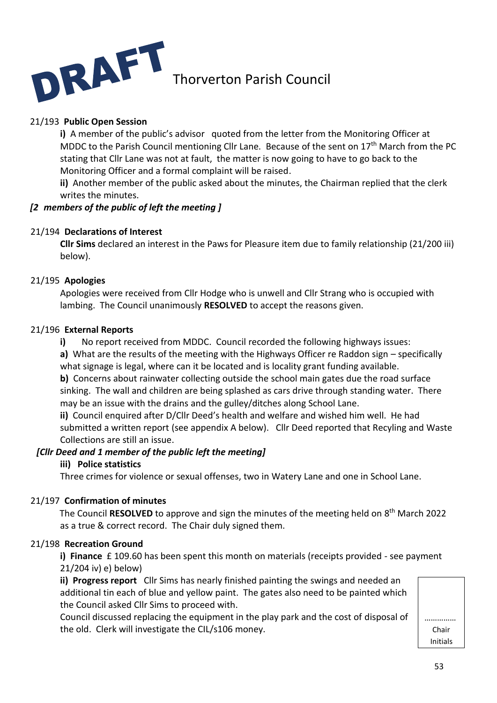

#### 21/193 **Public Open Session**

**i)** A member of the public's advisor quoted from the letter from the Monitoring Officer at MDDC to the Parish Council mentioning Cllr Lane. Because of the sent on 17<sup>th</sup> March from the PC stating that Cllr Lane was not at fault, the matter is now going to have to go back to the Monitoring Officer and a formal complaint will be raised.

 **ii)** Another member of the public asked about the minutes, the Chairman replied that the clerk writes the minutes.

#### *[2 members of the public of left the meeting ]*

#### 21/194 **Declarations of Interest**

**Cllr Sims** declared an interest in the Paws for Pleasure item due to family relationship (21/200 iii) below).

#### 21/195 **Apologies**

Apologies were received from Cllr Hodge who is unwell and Cllr Strang who is occupied with lambing. The Council unanimously **RESOLVED** to accept the reasons given.

#### 21/196 **External Reports**

**i)** No report received from MDDC. Council recorded the following highways issues:

**a)** What are the results of the meeting with the Highways Officer re Raddon sign – specifically what signage is legal, where can it be located and is locality grant funding available.

**b)** Concerns about rainwater collecting outside the school main gates due the road surface sinking. The wall and children are being splashed as cars drive through standing water. There may be an issue with the drains and the gulley/ditches along School Lane.

**ii)** Council enquired after D/Cllr Deed's health and welfare and wished him well. He had submitted a written report (see appendix A below). Cllr Deed reported that Recyling and Waste Collections are still an issue.

#### *[Cllr Deed and 1 member of the public left the meeting]*

#### **iii) Police statistics**

Three crimes for violence or sexual offenses, two in Watery Lane and one in School Lane.

#### 21/197 **Confirmation of minutes**

The Council RESOLVED to approve and sign the minutes of the meeting held on 8<sup>th</sup> March 2022 as a true & correct record. The Chair duly signed them.

#### 21/198 **Recreation Ground**

**i) Finance** £ 109.60 has been spent this month on materials (receipts provided - see payment 21/204 iv) e) below)

**ii) Progress report** Cllr Sims has nearly finished painting the swings and needed an additional tin each of blue and yellow paint. The gates also need to be painted which the Council asked Cllr Sims to proceed with.

Council discussed replacing the equipment in the play park and the cost of disposal of the old. Clerk will investigate the CIL/s106 money.

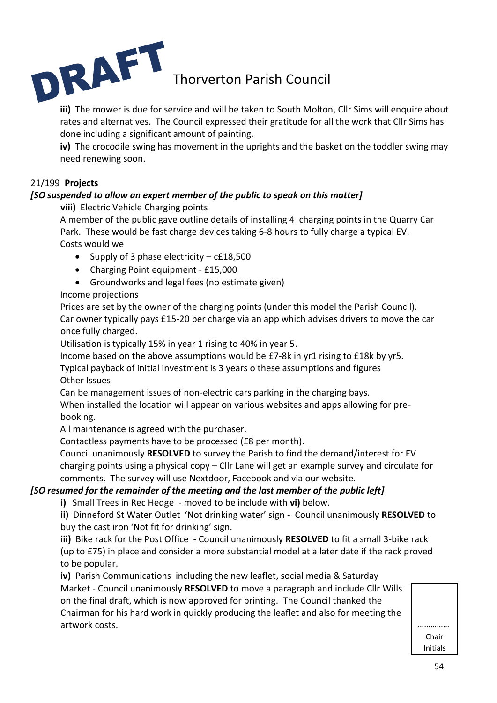

**iii)** The mower is due for service and will be taken to South Molton, Cllr Sims will enquire about rates and alternatives. The Council expressed their gratitude for all the work that Cllr Sims has done including a significant amount of painting.

**iv)** The crocodile swing has movement in the uprights and the basket on the toddler swing may need renewing soon.

#### 21/199 **Projects**

#### *[SO suspended to allow an expert member of the public to speak on this matter]*

**viii)** Electric Vehicle Charging points

A member of the public gave outline details of installing 4 charging points in the Quarry Car Park. These would be fast charge devices taking 6-8 hours to fully charge a typical EV. Costs would we

- Supply of 3 phase electricity c£18,500
- Charging Point equipment £15,000
- Groundworks and legal fees (no estimate given)

#### Income projections

Prices are set by the owner of the charging points (under this model the Parish Council). Car owner typically pays £15-20 per charge via an app which advises drivers to move the car once fully charged.

Utilisation is typically 15% in year 1 rising to 40% in year 5.

Income based on the above assumptions would be £7-8k in yr1 rising to £18k by yr5.

Typical payback of initial investment is 3 years o these assumptions and figures Other Issues

Can be management issues of non-electric cars parking in the charging bays.

When installed the location will appear on various websites and apps allowing for prebooking.

All maintenance is agreed with the purchaser.

Contactless payments have to be processed (£8 per month).

Council unanimously **RESOLVED** to survey the Parish to find the demand/interest for EV charging points using a physical copy – Cllr Lane will get an example survey and circulate for comments. The survey will use Nextdoor, Facebook and via our website.

#### *[SO resumed for the remainder of the meeting and the last member of the public left]*

**i)** Small Trees in Rec Hedge - moved to be include with **vi)** below.

**ii)** Dinneford St Water Outlet 'Not drinking water' sign - Council unanimously **RESOLVED** to buy the cast iron 'Not fit for drinking' sign.

**iii)** Bike rack for the Post Office - Council unanimously **RESOLVED** to fit a small 3-bike rack (up to £75) in place and consider a more substantial model at a later date if the rack proved to be popular.

**iv)** Parish Communications including the new leaflet, social media & Saturday Market - Council unanimously **RESOLVED** to move a paragraph and include Cllr Wills on the final draft, which is now approved for printing. The Council thanked the Chairman for his hard work in quickly producing the leaflet and also for meeting the artwork costs. ……………

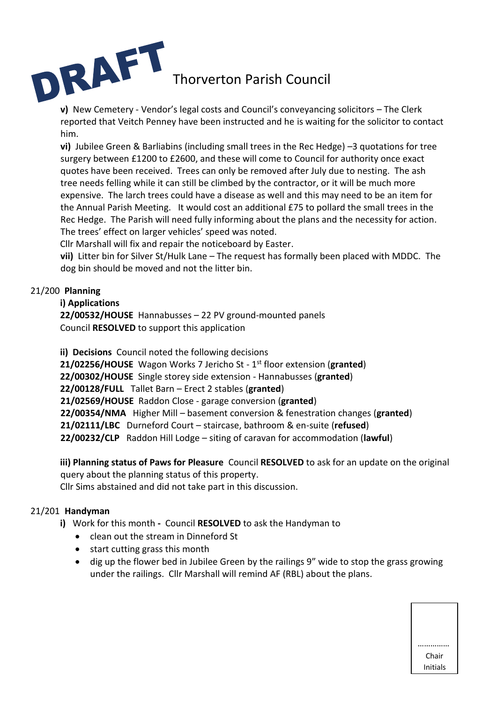

**v)** New Cemetery - Vendor's legal costs and Council's conveyancing solicitors – The Clerk reported that Veitch Penney have been instructed and he is waiting for the solicitor to contact him.

**vi)** Jubilee Green & Barliabins (including small trees in the Rec Hedge) –3 quotations for tree surgery between £1200 to £2600, and these will come to Council for authority once exact quotes have been received. Trees can only be removed after July due to nesting. The ash tree needs felling while it can still be climbed by the contractor, or it will be much more expensive. The larch trees could have a disease as well and this may need to be an item for the Annual Parish Meeting. It would cost an additional £75 to pollard the small trees in the Rec Hedge. The Parish will need fully informing about the plans and the necessity for action. The trees' effect on larger vehicles' speed was noted.

Cllr Marshall will fix and repair the noticeboard by Easter.

**vii)** Litter bin for Silver St/Hulk Lane – The request has formally been placed with MDDC. The dog bin should be moved and not the litter bin.

#### 21/200 **Planning**

#### **i) Applications**

**22/00532/HOUSE** Hannabusses – 22 PV ground-mounted panels Council **RESOLVED** to support this application

**ii) Decisions** Council noted the following decisions **21/02256/HOUSE** Wagon Works 7 Jericho St - 1 st floor extension (**granted**) **22/00302/HOUSE** Single storey side extension - Hannabusses (**granted**) **22/00128/FULL** Tallet Barn – Erect 2 stables (**granted**) **21/02569/HOUSE** Raddon Close - garage conversion (**granted**) **22/00354/NMA** Higher Mill – basement conversion & fenestration changes (**granted**) **21/02111/LBC** Durneford Court – staircase, bathroom & en-suite (**refused**) **22/00232/CLP** Raddon Hill Lodge – siting of caravan for accommodation (**lawful**)

**iii) Planning status of Paws for Pleasure** Council **RESOLVED** to ask for an update on the original query about the planning status of this property.

Cllr Sims abstained and did not take part in this discussion.

#### 21/201 **Handyman**

- **i)** Work for this month Council **RESOLVED** to ask the Handyman to
	- clean out the stream in Dinneford St
	- start cutting grass this month
	- dig up the flower bed in Jubilee Green by the railings 9" wide to stop the grass growing under the railings. Cllr Marshall will remind AF (RBL) about the plans.

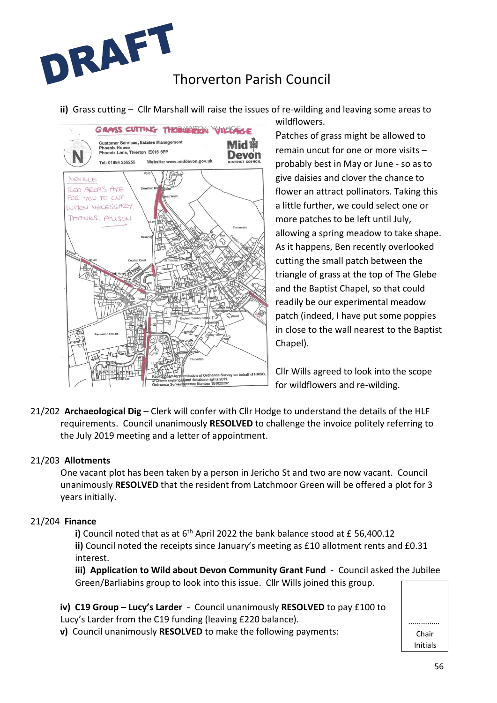

**ii)** Grass cutting – Cllr Marshall will raise the issues of re-wilding and leaving some areas to

wildflowers.



Patches of grass might be allowed to remain uncut for one or more visits – probably best in May or June - so as to give daisies and clover the chance to flower an attract pollinators. Taking this a little further, we could select one or more patches to be left until July, allowing a spring meadow to take shape. As it happens, Ben recently overlooked cutting the small patch between the triangle of grass at the top of The Glebe and the Baptist Chapel, so that could readily be our experimental meadow patch (indeed, I have put some poppies in close to the wall nearest to the Baptist Chapel).

Cllr Wills agreed to look into the scope for wildflowers and re-wilding.

21/202 **Archaeological Dig** – Clerk will confer with Cllr Hodge to understand the details of the HLF requirements. Council unanimously **RESOLVED** to challenge the invoice politely referring to the July 2019 meeting and a letter of appointment.

#### 21/203 **Allotments**

One vacant plot has been taken by a person in Jericho St and two are now vacant. Council unanimously **RESOLVED** that the resident from Latchmoor Green will be offered a plot for 3 years initially.

#### 21/204 **Finance**

**i)** Council noted that as at 6<sup>th</sup> April 2022 the bank balance stood at £ 56,400.12 **ii)** Council noted the receipts since January's meeting as £10 allotment rents and £0.31 interest.

**iii) Application to Wild about Devon Community Grant Fund** - Council asked the Jubilee Green/Barliabins group to look into this issue. Cllr Wills joined this group.

**iv) C19 Group – Lucy's Larder** - Council unanimously **RESOLVED** to pay £100 to Lucy's Larder from the C19 funding (leaving £220 balance).

**v)** Council unanimously **RESOLVED** to make the following payments:

…………… Chair Initials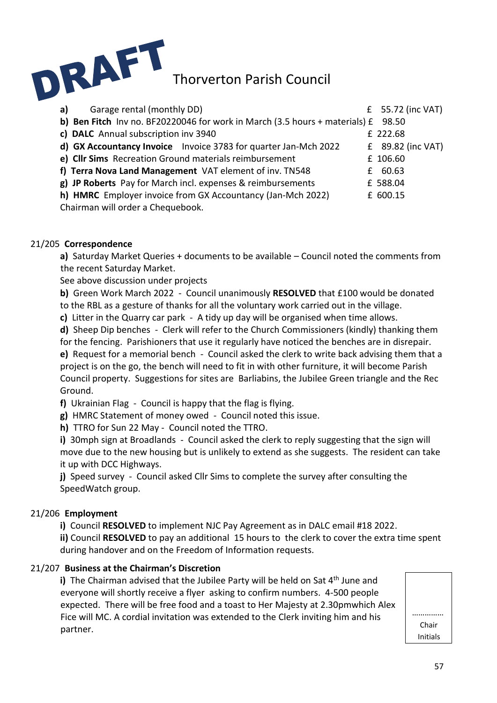

| Garage rental (monthly DD)<br>a)                                            |    | $E$ 55.72 (inc VAT) |
|-----------------------------------------------------------------------------|----|---------------------|
| b) Ben Fitch Inv no. BF20220046 for work in March (3.5 hours + materials) £ |    | 98.50               |
| c) DALC Annual subscription inv 3940                                        |    | £ 222.68            |
| d) GX Accountancy Invoice Invoice 3783 for quarter Jan-Mch 2022             |    | $£$ 89.82 (inc VAT) |
| e) Cllr Sims Recreation Ground materials reimbursement                      |    | £ 106.60            |
| f) Terra Nova Land Management VAT element of inv. TN548                     | f. | 60.63               |
| g) JP Roberts Pay for March incl. expenses & reimbursements                 |    | £ 588.04            |
| h) HMRC Employer invoice from GX Accountancy (Jan-Mch 2022)                 |    | £ 600.15            |
| Chairman will order a Chequebook.                                           |    |                     |

#### 21/205 **Correspondence**

**a)** Saturday Market Queries + documents to be available – Council noted the comments from the recent Saturday Market.

See above discussion under projects

**b)** Green Work March 2022 - Council unanimously **RESOLVED** that £100 would be donated to the RBL as a gesture of thanks for all the voluntary work carried out in the village.

**c)** Litter in the Quarry car park - A tidy up day will be organised when time allows.

**d)** Sheep Dip benches - Clerk will refer to the Church Commissioners (kindly) thanking them for the fencing. Parishioners that use it regularly have noticed the benches are in disrepair.

**e)** Request for a memorial bench - Council asked the clerk to write back advising them that a project is on the go, the bench will need to fit in with other furniture, it will become Parish Council property. Suggestions for sites are Barliabins, the Jubilee Green triangle and the Rec Ground.

**f)** Ukrainian Flag - Council is happy that the flag is flying.

**g)** HMRC Statement of money owed - Council noted this issue.

**h)** TTRO for Sun 22 May - Council noted the TTRO.

**i)** 30mph sign at Broadlands - Council asked the clerk to reply suggesting that the sign will move due to the new housing but is unlikely to extend as she suggests. The resident can take it up with DCC Highways.

**j)** Speed survey - Council asked Cllr Sims to complete the survey after consulting the SpeedWatch group.

#### 21/206 **Employment**

**i)** Council **RESOLVED** to implement NJC Pay Agreement as in DALC email #18 2022.

**ii)** Council **RESOLVED** to pay an additional 15 hours to the clerk to cover the extra time spent during handover and on the Freedom of Information requests.

#### 21/207 **Business at the Chairman's Discretion**

**i)** The Chairman advised that the Jubilee Party will be held on Sat 4<sup>th</sup> June and everyone will shortly receive a flyer asking to confirm numbers. 4-500 people expected. There will be free food and a toast to Her Majesty at 2.30pmwhich Alex Fice will MC. A cordial invitation was extended to the Clerk inviting him and his partner.